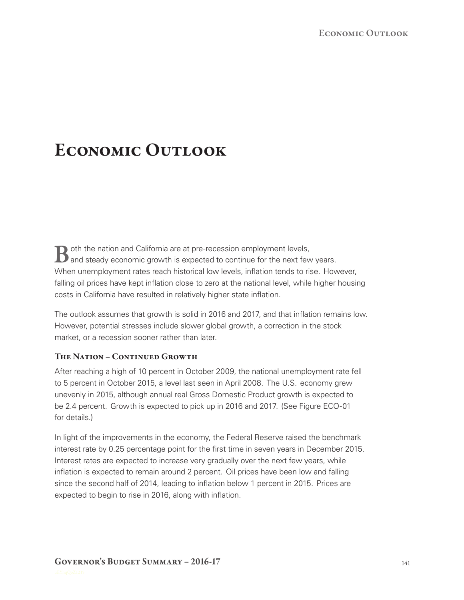# **Economic Outlook**

**B** oth the nation and California are at pre-recession employment levels,<br>**B** and steady economic growth is expected to continue for the next few years. When unemployment rates reach historical low levels, inflation tends to rise. However, falling oil prices have kept inflation close to zero at the national level, while higher housing costs in California have resulted in relatively higher state inflation.

The outlook assumes that growth is solid in 2016 and 2017, and that inflation remains low. However, potential stresses include slower global growth, a correction in the stock market, or a recession sooner rather than later.

# **The Nation – Continued Growth**

After reaching a high of 10 percent in October 2009, the national unemployment rate fell to 5 percent in October 2015, a level last seen in April 2008. The U.S. economy grew unevenly in 2015, although annual real Gross Domestic Product growth is expected to be 2.4 percent. Growth is expected to pick up in 2016 and 2017. (See Figure ECO-01 for details.)

In light of the improvements in the economy, the Federal Reserve raised the benchmark interest rate by 0.25 percentage point for the first time in seven years in December 2015. Interest rates are expected to increase very gradually over the next few years, while inflation is expected to remain around 2 percent. Oil prices have been low and falling since the second half of 2014, leading to inflation below 1 percent in 2015. Prices are expected to begin to rise in 2016, along with inflation.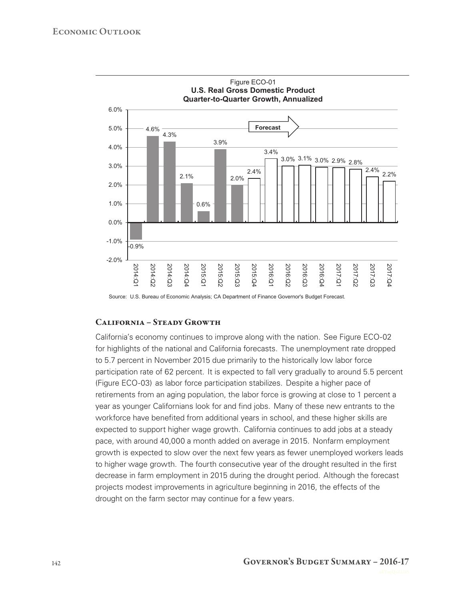

Source: U.S. Bureau of Economic Analysis; CA Department of Finance Governor's Budget Forecast.

#### **California – Steady Growth**

California's economy continues to improve along with the nation. See Figure ECO-02 for highlights of the national and California forecasts. The unemployment rate dropped to 5.7 percent in November 2015 due primarily to the historically low labor force participation rate of 62 percent. It is expected to fall very gradually to around 5.5 percent (Figure ECO-03) as labor force participation stabilizes. Despite a higher pace of retirements from an aging population, the labor force is growing at close to 1 percent a year as younger Californians look for and find jobs. Many of these new entrants to the workforce have benefited from additional years in school, and these higher skills are expected to support higher wage growth. California continues to add jobs at a steady pace, with around 40,000 a month added on average in 2015. Nonfarm employment growth is expected to slow over the next few years as fewer unemployed workers leads to higher wage growth. The fourth consecutive year of the drought resulted in the first decrease in farm employment in 2015 during the drought period. Although the forecast projects modest improvements in agriculture beginning in 2016, the effects of the drought on the farm sector may continue for a few years.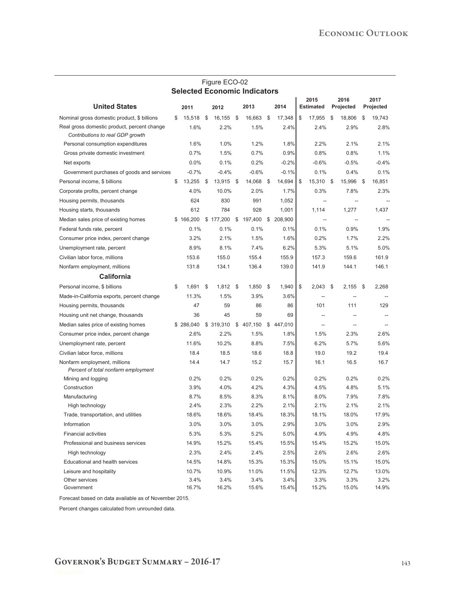|                                                                                 |    |               |    | Figure ECO-02 |      |               |    |               |    |                          |     |                   |      |                   |
|---------------------------------------------------------------------------------|----|---------------|----|---------------|------|---------------|----|---------------|----|--------------------------|-----|-------------------|------|-------------------|
| <b>Selected Economic Indicators</b>                                             |    |               |    |               |      |               |    |               |    |                          |     |                   |      |                   |
| <b>United States</b>                                                            |    | 2011          |    | 2012          |      | 2013          |    | 2014          |    | 2015<br><b>Estimated</b> |     | 2016<br>Projected |      | 2017<br>Projected |
| Nominal gross domestic product, \$ billions                                     | \$ | 15,518        | \$ | 16,155 \$     |      | 16,663        | \$ | 17,348        | \$ | 17,955                   | \$  | 18,806            | \$   | 19,743            |
| Real gross domestic product, percent change<br>Contributions to real GDP growth |    | 1.6%          |    | 2.2%          |      | 1.5%          |    | 2.4%          |    | 2.4%                     |     | 2.9%              |      | 2.8%              |
| Personal consumption expenditures                                               |    | 1.6%          |    | 1.0%          |      | 1.2%          |    | 1.8%          |    | 2.2%                     |     | 2.1%              |      | 2.1%              |
| Gross private domestic investment                                               |    | 0.7%          |    | 1.5%          |      | 0.7%          |    | 0.9%          |    | 0.8%                     |     | 0.8%              |      | 1.1%              |
| Net exports                                                                     |    | 0.0%          |    | 0.1%          |      | 0.2%          |    | $-0.2%$       |    | $-0.6%$                  |     | $-0.5%$           |      | $-0.4%$           |
| Government purchases of goods and services                                      |    | $-0.7%$       |    | $-0.4%$       |      | $-0.6%$       |    | $-0.1%$       |    | 0.1%                     |     | 0.4%              |      | 0.1%              |
| Personal income, \$ billions                                                    | \$ | 13,255        | \$ | 13,915 \$     |      | 14,068        | \$ | 14,694        | \$ | 15,310                   | -\$ | 15,996 \$         |      | 16,851            |
| Corporate profits, percent change                                               |    | 4.0%          |    | 10.0%         |      | 2.0%          |    | 1.7%          |    | 0.3%                     |     | 7.8%              |      | 2.3%              |
| Housing permits, thousands                                                      |    | 624           |    | 830           |      | 991           |    | 1,052         |    |                          |     |                   |      |                   |
| Housing starts, thousands                                                       |    | 612           |    | 784           |      | 928           |    | 1,001         |    | 1,114                    |     | 1,277             |      | 1,437             |
| Median sales price of existing homes                                            |    | \$166,200     |    | \$177,200     | \$   | 197,400       |    | \$ 208,900    |    | $\overline{a}$           |     | $\overline{a}$    |      |                   |
| Federal funds rate, percent                                                     |    | 0.1%          |    | 0.1%          |      | 0.1%          |    | 0.1%          |    | 0.1%                     |     | 0.9%              |      | 1.9%              |
| Consumer price index, percent change                                            |    | 3.2%          |    | 2.1%          |      | 1.5%          |    | 1.6%          |    | 0.2%                     |     | 1.7%              |      | 2.2%              |
| Unemployment rate, percent                                                      |    | 8.9%          |    | 8.1%          |      | 7.4%          |    | 6.2%          |    | 5.3%                     |     | 5.1%              |      | 5.0%              |
| Civilian labor force, millions                                                  |    | 153.6         |    | 155.0         |      | 155.4         |    | 155.9         |    | 157.3                    |     | 159.6             |      | 161.9             |
| Nonfarm employment, millions                                                    |    | 131.8         |    | 134.1         |      | 136.4         |    | 139.0         |    | 141.9                    |     | 144.1             |      | 146.1             |
| California                                                                      |    |               |    |               |      |               |    |               |    |                          |     |                   |      |                   |
| Personal income, \$ billions                                                    | \$ | 1.691         | \$ | 1,812         | - \$ | 1,850         | \$ | 1,940         | \$ | 2.043                    | \$  | 2,155             | - \$ | 2,268             |
| Made-in-California exports, percent change                                      |    | 11.3%         |    | 1.5%          |      | 3.9%          |    | 3.6%          |    |                          |     |                   |      |                   |
| Housing permits, thousands                                                      |    | 47            |    | 59            |      | 86            |    | 86            |    | 101                      |     | 111               |      | 129               |
| Housing unit net change, thousands                                              |    | 36            |    | 45            |      | 59            |    | 69            |    | $\overline{a}$           |     |                   |      |                   |
| Median sales price of existing homes                                            |    | \$286,040     |    | \$319,310     |      | \$407,150     | \$ | 447,010       |    | $\overline{a}$           |     |                   |      |                   |
| Consumer price index, percent change                                            |    | 2.6%          |    | 2.2%          |      | 1.5%          |    | 1.8%          |    | 1.5%                     |     | 2.3%              |      | 2.6%              |
| Unemployment rate, percent                                                      |    | 11.6%         |    | 10.2%         |      | 8.8%          |    | 7.5%          |    | 6.2%                     |     | 5.7%              |      | 5.6%              |
| Civilian labor force, millions                                                  |    | 18.4          |    | 18.5          |      | 18.6          |    | 18.8          |    | 19.0                     |     | 19.2              |      | 19.4              |
| Nonfarm employment, millions<br>Percent of total nonfarm employment             |    | 14.4          |    | 14.7          |      | 15.2          |    | 15.7          |    | 16.1                     |     | 16.5              |      | 16.7              |
| Mining and logging                                                              |    | 0.2%          |    | 0.2%          |      | 0.2%          |    | 0.2%          |    | 0.2%                     |     | 0.2%              |      | 0.2%              |
| Construction                                                                    |    | 3.9%          |    | 4.0%          |      | 4.2%          |    | 4.3%          |    | 4.5%                     |     | 4.8%              |      | 5.1%              |
| Manufacturing                                                                   |    | 8.7%          |    | 8.5%          |      | 8.3%          |    | 8.1%          |    | 8.0%                     |     | 7.9%              |      | 7.8%              |
| High technology                                                                 |    | 2.4%          |    | 2.3%          |      | 2.2%          |    | 2.1%          |    | 2.1%                     |     | 2.1%              |      | 2.1%              |
| Trade, transportation, and utilities                                            |    | 18.6%         |    | 18.6%         |      | 18.4%         |    | 18.3%         |    | 18.1%                    |     | 18.0%             |      | 17.9%             |
| Information                                                                     |    | 3.0%          |    | 3.0%          |      | 3.0%          |    | 2.9%          |    | 3.0%                     |     | 3.0%              |      | 2.9%              |
| <b>Financial activities</b>                                                     |    | 5.3%          |    | 5.3%          |      | 5.2%          |    | 5.0%          |    | 4.9%                     |     | 4.9%              |      | 4.8%              |
| Professional and business services                                              |    | 14.9%         |    | 15.2%         |      | 15.4%         |    | 15.5%         |    | 15.4%                    |     | 15.2%             |      | 15.0%             |
| High technology                                                                 |    | 2.3%          |    | 2.4%          |      | 2.4%          |    | 2.5%          |    | 2.6%                     |     | 2.6%              |      | 2.6%              |
| Educational and health services                                                 |    | 14.5%         |    | 14.8%         |      | 15.3%         |    | 15.3%         |    | 15.0%                    |     | 15.1%             |      | 15.0%             |
| Leisure and hospitality                                                         |    | 10.7%         |    | 10.9%         |      | 11.0%         |    | 11.5%         |    | 12.3%                    |     | 12.7%             |      | 13.0%             |
| Other services<br>Government                                                    |    | 3.4%<br>16.7% |    | 3.4%<br>16.2% |      | 3.4%<br>15.6% |    | 3.4%<br>15.4% |    | 3.3%<br>15.2%            |     | 3.3%<br>15.0%     |      | 3.2%<br>14.9%     |

Forecast based on data available as of November 2015.

Percent changes calculated from unrounded data.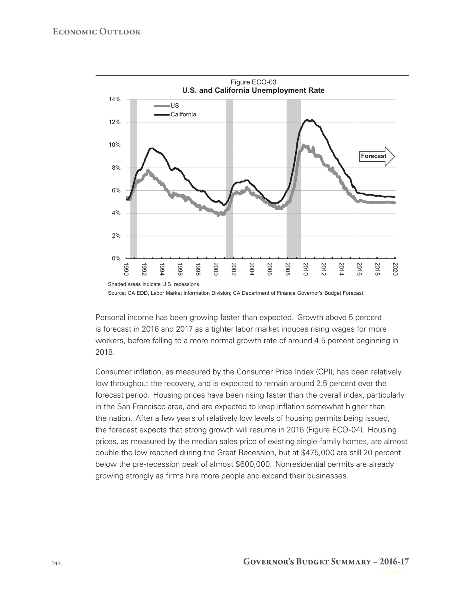

Source: CA EDD, Labor Market Information Division; CA Department of Finance Governor's Budget Forecast.

Personal income has been growing faster than expected. Growth above 5 percent is forecast in 2016 and 2017 as a tighter labor market induces rising wages for more workers, before falling to a more normal growth rate of around 4.5 percent beginning in 2018.

Consumer inflation, as measured by the Consumer Price Index (CPI), has been relatively low throughout the recovery, and is expected to remain around 2.5 percent over the forecast period. Housing prices have been rising faster than the overall index, particularly in the San Francisco area, and are expected to keep inflation somewhat higher than the nation. After a few years of relatively low levels of housing permits being issued, the forecast expects that strong growth will resume in 2016 (Figure ECO-04). Housing prices, as measured by the median sales price of existing single-family homes, are almost double the low reached during the Great Recession, but at \$475,000 are still 20 percent below the pre-recession peak of almost \$600,000. Nonresidential permits are already growing strongly as firms hire more people and expand their businesses.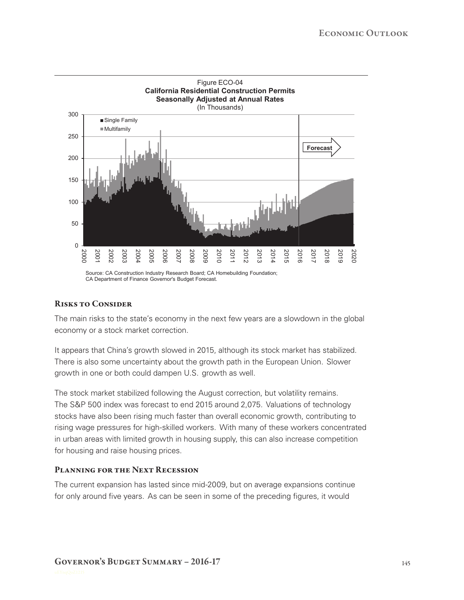

## **Risks to Consider**

The main risks to the state's economy in the next few years are a slowdown in the global economy or a stock market correction.

It appears that China's growth slowed in 2015, although its stock market has stabilized. There is also some uncertainty about the growth path in the European Union. Slower growth in one or both could dampen U.S. growth as well.

The stock market stabilized following the August correction, but volatility remains. The S&P 500 index was forecast to end 2015 around 2,075. Valuations of technology stocks have also been rising much faster than overall economic growth, contributing to rising wage pressures for high-skilled workers. With many of these workers concentrated in urban areas with limited growth in housing supply, this can also increase competition for housing and raise housing prices.

## **Planning for the Next Recession**

The current expansion has lasted since mid-2009, but on average expansions continue for only around five years. As can be seen in some of the preceding figures, it would